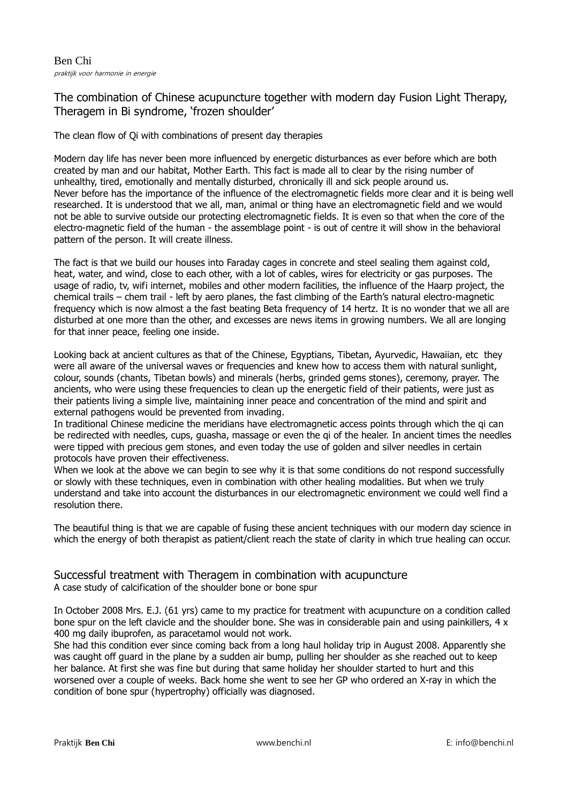# The combination of Chinese acupuncture together with modern day Fusion Light Therapy, Theragem in Bi syndrome, 'frozen shoulder'

# The clean flow of Qi with combinations of present day therapies

Modern day life has never been more influenced by energetic disturbances as ever before which are both created by man and our habitat, Mother Earth. This fact is made all to clear by the rising number of unhealthy, tired, emotionally and mentally disturbed, chronically ill and sick people around us. Never before has the importance of the influence of the electromagnetic fields more clear and it is being well researched. It is understood that we all, man, animal or thing have an electromagnetic field and we would not be able to survive outside our protecting electromagnetic fields. It is even so that when the core of the electro-magnetic field of the human - the assemblage point - is out of centre it will show in the behavioral pattern of the person. It will create illness.

The fact is that we build our houses into Faraday cages in concrete and steel sealing them against cold, heat, water, and wind, close to each other, with a lot of cables, wires for electricity or gas purposes. The usage of radio, tv, wifi internet, mobiles and other modern facilities, the influence of the Haarp project, the chemical trails – chem trail - left by aero planes, the fast climbing of the Earth's natural electro-magnetic frequency which is now almost a the fast beating Beta frequency of 14 hertz. It is no wonder that we all are disturbed at one more than the other, and excesses are news items in growing numbers. We all are longing for that inner peace, feeling one inside.

Looking back at ancient cultures as that of the Chinese, Egyptians, Tibetan, Ayurvedic, Hawaiian, etc they were all aware of the universal waves or frequencies and knew how to access them with natural sunlight, colour, sounds (chants, Tibetan bowls) and minerals (herbs, grinded gems stones), ceremony, prayer. The ancients, who were using these frequencies to clean up the energetic field of their patients, were just as their patients living a simple live, maintaining inner peace and concentration of the mind and spirit and external pathogens would be prevented from invading.

In traditional Chinese medicine the meridians have electromagnetic access points through which the qi can be redirected with needles, cups, guasha, massage or even the qi of the healer. In ancient times the needles were tipped with precious gem stones, and even today the use of golden and silver needles in certain protocols have proven their effectiveness.

When we look at the above we can begin to see why it is that some conditions do not respond successfully or slowly with these techniques, even in combination with other healing modalities. But when we truly understand and take into account the disturbances in our electromagnetic environment we could well find a resolution there.

The beautiful thing is that we are capable of fusing these ancient techniques with our modern day science in which the energy of both therapist as patient/client reach the state of clarity in which true healing can occur.

# Successful treatment with Theragem in combination with acupuncture A case study of calcification of the shoulder bone or bone spur

In October 2008 Mrs. E.J. (61 yrs) came to my practice for treatment with acupuncture on a condition called bone spur on the left clavicle and the shoulder bone. She was in considerable pain and using painkillers, 4 x 400 mg daily ibuprofen, as paracetamol would not work.

She had this condition ever since coming back from a long haul holiday trip in August 2008. Apparently she was caught off guard in the plane by a sudden air bump, pulling her shoulder as she reached out to keep her balance. At first she was fine but during that same holiday her shoulder started to hurt and this worsened over a couple of weeks. Back home she went to see her GP who ordered an X-ray in which the condition of bone spur (hypertrophy) officially was diagnosed.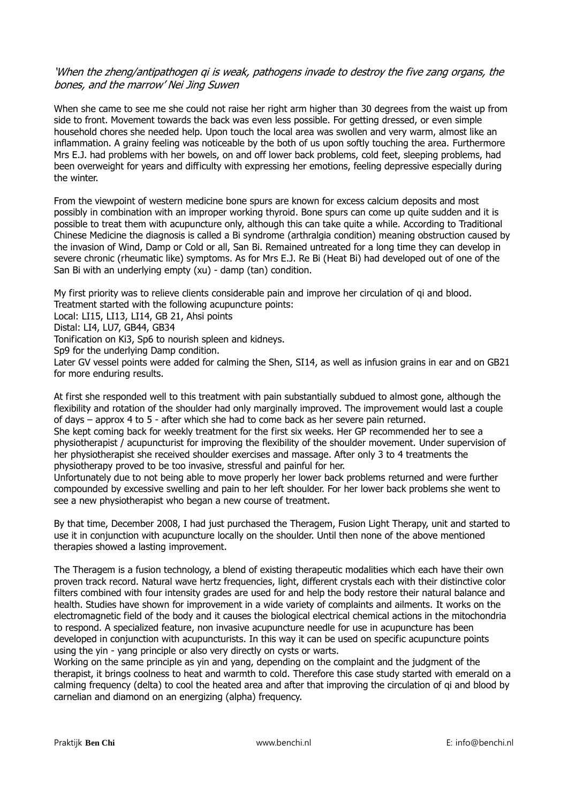## 'When the zheng/antipathogen qi is weak, pathogens invade to destroy the five zang organs, the bones, and the marrow' Nei Jing Suwen

When she came to see me she could not raise her right arm higher than 30 degrees from the waist up from side to front. Movement towards the back was even less possible. For getting dressed, or even simple household chores she needed help. Upon touch the local area was swollen and very warm, almost like an inflammation. A grainy feeling was noticeable by the both of us upon softly touching the area. Furthermore Mrs E.J. had problems with her bowels, on and off lower back problems, cold feet, sleeping problems, had been overweight for years and difficulty with expressing her emotions, feeling depressive especially during the winter.

From the viewpoint of western medicine bone spurs are known for excess calcium deposits and most possibly in combination with an improper working thyroid. Bone spurs can come up quite sudden and it is possible to treat them with acupuncture only, although this can take quite a while. According to Traditional Chinese Medicine the diagnosis is called a Bi syndrome (arthralgia condition) meaning obstruction caused by the invasion of Wind, Damp or Cold or all, San Bi. Remained untreated for a long time they can develop in severe chronic (rheumatic like) symptoms. As for Mrs E.J. Re Bi (Heat Bi) had developed out of one of the San Bi with an underlying empty (xu) - damp (tan) condition.

My first priority was to relieve clients considerable pain and improve her circulation of qi and blood. Treatment started with the following acupuncture points:

Local: LI15, LI13, LI14, GB 21, Ahsi points

Distal: LI4, LU7, GB44, GB34

Tonification on Ki3, Sp6 to nourish spleen and kidneys.

Sp9 for the underlying Damp condition.

Later GV vessel points were added for calming the Shen, SI14, as well as infusion grains in ear and on GB21 for more enduring results.

At first she responded well to this treatment with pain substantially subdued to almost gone, although the flexibility and rotation of the shoulder had only marginally improved. The improvement would last a couple of days – approx 4 to 5 - after which she had to come back as her severe pain returned.

She kept coming back for weekly treatment for the first six weeks. Her GP recommended her to see a physiotherapist / acupuncturist for improving the flexibility of the shoulder movement. Under supervision of her physiotherapist she received shoulder exercises and massage. After only 3 to 4 treatments the physiotherapy proved to be too invasive, stressful and painful for her.

Unfortunately due to not being able to move properly her lower back problems returned and were further compounded by excessive swelling and pain to her left shoulder. For her lower back problems she went to see a new physiotherapist who began a new course of treatment.

By that time, December 2008, I had just purchased the Theragem, Fusion Light Therapy, unit and started to use it in conjunction with acupuncture locally on the shoulder. Until then none of the above mentioned therapies showed a lasting improvement.

The Theragem is a fusion technology, a blend of existing therapeutic modalities which each have their own proven track record. Natural wave hertz frequencies, light, different crystals each with their distinctive color filters combined with four intensity grades are used for and help the body restore their natural balance and health. Studies have shown for improvement in a wide variety of complaints and ailments. It works on the electromagnetic field of the body and it causes the biological electrical chemical actions in the mitochondria to respond. A specialized feature, non invasive acupuncture needle for use in acupuncture has been developed in conjunction with acupuncturists. In this way it can be used on specific acupuncture points using the yin - yang principle or also very directly on cysts or warts.

Working on the same principle as yin and yang, depending on the complaint and the judgment of the therapist, it brings coolness to heat and warmth to cold. Therefore this case study started with emerald on a calming frequency (delta) to cool the heated area and after that improving the circulation of qi and blood by carnelian and diamond on an energizing (alpha) frequency.